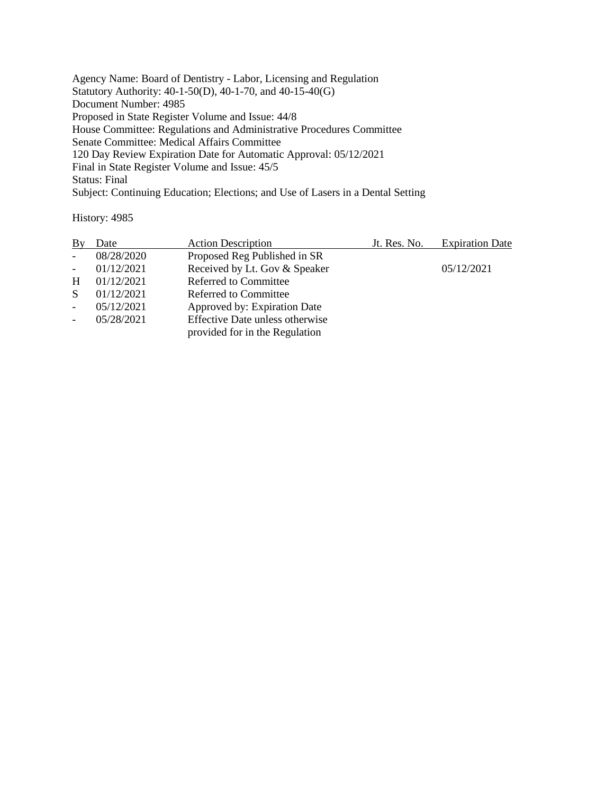Agency Name: Board of Dentistry - Labor, Licensing and Regulation Statutory Authority: 40-1-50(D), 40-1-70, and 40-15-40(G) Document Number: 4985 Proposed in State Register Volume and Issue: 44/8 House Committee: Regulations and Administrative Procedures Committee Senate Committee: Medical Affairs Committee 120 Day Review Expiration Date for Automatic Approval: 05/12/2021 Final in State Register Volume and Issue: 45/5 Status: Final Subject: Continuing Education; Elections; and Use of Lasers in a Dental Setting

History: 4985

| Bγ                       | Date       | <b>Action Description</b>              | Jt. Res. No. | <b>Expiration Date</b> |
|--------------------------|------------|----------------------------------------|--------------|------------------------|
| $\blacksquare$           | 08/28/2020 | Proposed Reg Published in SR           |              |                        |
| $\overline{\phantom{a}}$ | 01/12/2021 | Received by Lt. Gov & Speaker          |              | 05/12/2021             |
| H                        | 01/12/2021 | <b>Referred to Committee</b>           |              |                        |
| S                        | 01/12/2021 | Referred to Committee                  |              |                        |
|                          | 05/12/2021 | Approved by: Expiration Date           |              |                        |
|                          | 05/28/2021 | <b>Effective Date unless otherwise</b> |              |                        |
|                          |            | provided for in the Regulation         |              |                        |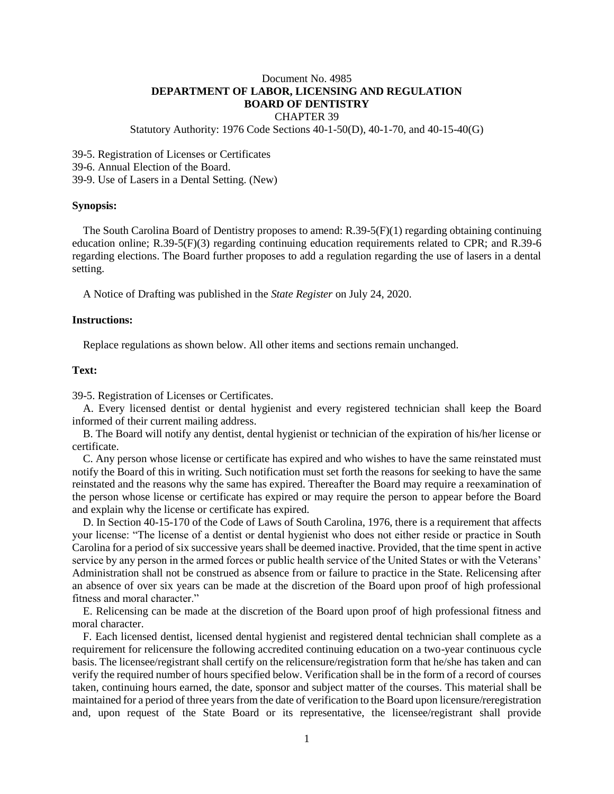# Document No. 4985 **DEPARTMENT OF LABOR, LICENSING AND REGULATION BOARD OF DENTISTRY**

## CHAPTER 39

Statutory Authority: 1976 Code Sections 40-1-50(D), 40-1-70, and 40-15-40(G)

39-5. Registration of Licenses or Certificates

39-6. Annual Election of the Board.

39-9. Use of Lasers in a Dental Setting. (New)

#### **Synopsis:**

The South Carolina Board of Dentistry proposes to amend: R.39-5(F)(1) regarding obtaining continuing education online; R.39-5(F)(3) regarding continuing education requirements related to CPR; and R.39-6 regarding elections. The Board further proposes to add a regulation regarding the use of lasers in a dental setting.

A Notice of Drafting was published in the *State Register* on July 24, 2020.

## **Instructions:**

Replace regulations as shown below. All other items and sections remain unchanged.

## **Text:**

39-5. Registration of Licenses or Certificates.

A. Every licensed dentist or dental hygienist and every registered technician shall keep the Board informed of their current mailing address.

B. The Board will notify any dentist, dental hygienist or technician of the expiration of his/her license or certificate.

C. Any person whose license or certificate has expired and who wishes to have the same reinstated must notify the Board of this in writing. Such notification must set forth the reasons for seeking to have the same reinstated and the reasons why the same has expired. Thereafter the Board may require a reexamination of the person whose license or certificate has expired or may require the person to appear before the Board and explain why the license or certificate has expired.

D. In Section 40-15-170 of the Code of Laws of South Carolina, 1976, there is a requirement that affects your license: "The license of a dentist or dental hygienist who does not either reside or practice in South Carolina for a period of six successive years shall be deemed inactive. Provided, that the time spent in active service by any person in the armed forces or public health service of the United States or with the Veterans' Administration shall not be construed as absence from or failure to practice in the State. Relicensing after an absence of over six years can be made at the discretion of the Board upon proof of high professional fitness and moral character."

E. Relicensing can be made at the discretion of the Board upon proof of high professional fitness and moral character.

F. Each licensed dentist, licensed dental hygienist and registered dental technician shall complete as a requirement for relicensure the following accredited continuing education on a two-year continuous cycle basis. The licensee/registrant shall certify on the relicensure/registration form that he/she has taken and can verify the required number of hours specified below. Verification shall be in the form of a record of courses taken, continuing hours earned, the date, sponsor and subject matter of the courses. This material shall be maintained for a period of three years from the date of verification to the Board upon licensure/reregistration and, upon request of the State Board or its representative, the licensee/registrant shall provide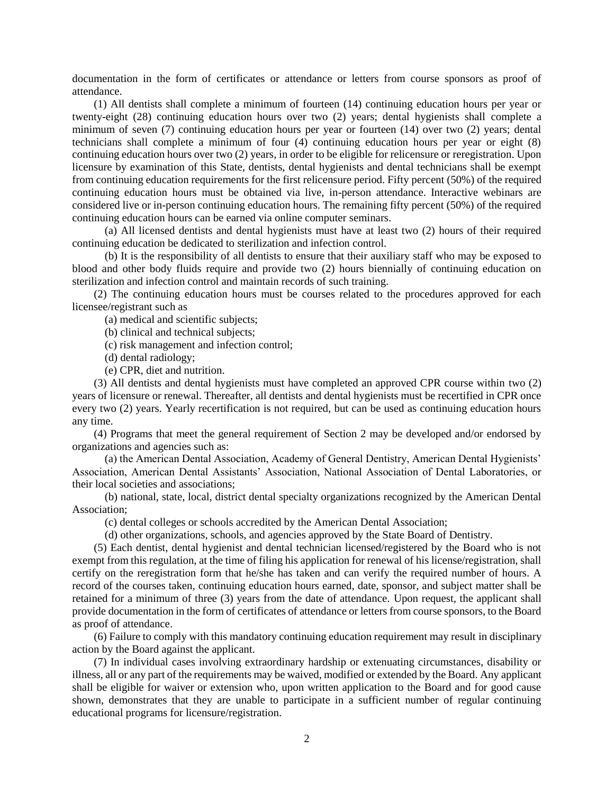documentation in the form of certificates or attendance or letters from course sponsors as proof of attendance.

(1) All dentists shall complete a minimum of fourteen (14) continuing education hours per year or twenty-eight (28) continuing education hours over two (2) years; dental hygienists shall complete a minimum of seven (7) continuing education hours per year or fourteen (14) over two (2) years; dental technicians shall complete a minimum of four (4) continuing education hours per year or eight (8) continuing education hours over two (2) years, in order to be eligible for relicensure or reregistration. Upon licensure by examination of this State, dentists, dental hygienists and dental technicians shall be exempt from continuing education requirements for the first relicensure period. Fifty percent (50%) of the required continuing education hours must be obtained via live, in-person attendance. Interactive webinars are considered live or in-person continuing education hours. The remaining fifty percent (50%) of the required continuing education hours can be earned via online computer seminars.

(a) All licensed dentists and dental hygienists must have at least two (2) hours of their required continuing education be dedicated to sterilization and infection control.

(b) It is the responsibility of all dentists to ensure that their auxiliary staff who may be exposed to blood and other body fluids require and provide two (2) hours biennially of continuing education on sterilization and infection control and maintain records of such training.

(2) The continuing education hours must be courses related to the procedures approved for each licensee/registrant such as

(a) medical and scientific subjects;

(b) clinical and technical subjects;

- (c) risk management and infection control;
- (d) dental radiology;
- (e) CPR, diet and nutrition.

(3) All dentists and dental hygienists must have completed an approved CPR course within two (2) years of licensure or renewal. Thereafter, all dentists and dental hygienists must be recertified in CPR once every two (2) years. Yearly recertification is not required, but can be used as continuing education hours any time.

(4) Programs that meet the general requirement of Section 2 may be developed and/or endorsed by organizations and agencies such as:

(a) the American Dental Association, Academy of General Dentistry, American Dental Hygienists' Association, American Dental Assistants' Association, National Association of Dental Laboratories, or their local societies and associations;

(b) national, state, local, district dental specialty organizations recognized by the American Dental Association;

(c) dental colleges or schools accredited by the American Dental Association;

(d) other organizations, schools, and agencies approved by the State Board of Dentistry.

(5) Each dentist, dental hygienist and dental technician licensed/registered by the Board who is not exempt from this regulation, at the time of filing his application for renewal of his license/registration, shall certify on the reregistration form that he/she has taken and can verify the required number of hours. A record of the courses taken, continuing education hours earned, date, sponsor, and subject matter shall be retained for a minimum of three (3) years from the date of attendance. Upon request, the applicant shall provide documentation in the form of certificates of attendance or letters from course sponsors, to the Board as proof of attendance.

(6) Failure to comply with this mandatory continuing education requirement may result in disciplinary action by the Board against the applicant.

(7) In individual cases involving extraordinary hardship or extenuating circumstances, disability or illness, all or any part of the requirements may be waived, modified or extended by the Board. Any applicant shall be eligible for waiver or extension who, upon written application to the Board and for good cause shown, demonstrates that they are unable to participate in a sufficient number of regular continuing educational programs for licensure/registration.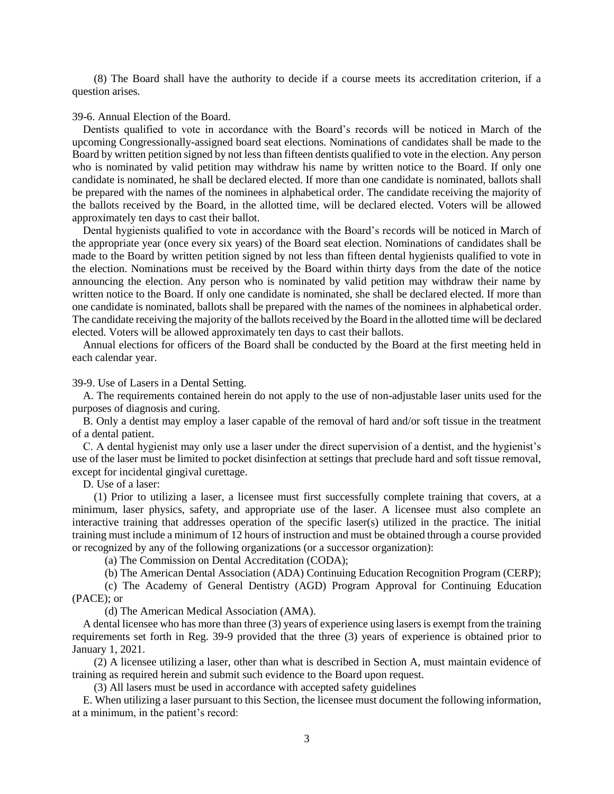(8) The Board shall have the authority to decide if a course meets its accreditation criterion, if a question arises.

#### 39-6. Annual Election of the Board.

Dentists qualified to vote in accordance with the Board's records will be noticed in March of the upcoming Congressionally-assigned board seat elections. Nominations of candidates shall be made to the Board by written petition signed by not less than fifteen dentists qualified to vote in the election. Any person who is nominated by valid petition may withdraw his name by written notice to the Board. If only one candidate is nominated, he shall be declared elected. If more than one candidate is nominated, ballots shall be prepared with the names of the nominees in alphabetical order. The candidate receiving the majority of the ballots received by the Board, in the allotted time, will be declared elected. Voters will be allowed approximately ten days to cast their ballot.

Dental hygienists qualified to vote in accordance with the Board's records will be noticed in March of the appropriate year (once every six years) of the Board seat election. Nominations of candidates shall be made to the Board by written petition signed by not less than fifteen dental hygienists qualified to vote in the election. Nominations must be received by the Board within thirty days from the date of the notice announcing the election. Any person who is nominated by valid petition may withdraw their name by written notice to the Board. If only one candidate is nominated, she shall be declared elected. If more than one candidate is nominated, ballots shall be prepared with the names of the nominees in alphabetical order. The candidate receiving the majority of the ballots received by the Board in the allotted time will be declared elected. Voters will be allowed approximately ten days to cast their ballots.

Annual elections for officers of the Board shall be conducted by the Board at the first meeting held in each calendar year.

39-9. Use of Lasers in a Dental Setting.

A. The requirements contained herein do not apply to the use of non-adjustable laser units used for the purposes of diagnosis and curing.

B. Only a dentist may employ a laser capable of the removal of hard and/or soft tissue in the treatment of a dental patient.

C. A dental hygienist may only use a laser under the direct supervision of a dentist, and the hygienist's use of the laser must be limited to pocket disinfection at settings that preclude hard and soft tissue removal, except for incidental gingival curettage.

D. Use of a laser:

(1) Prior to utilizing a laser, a licensee must first successfully complete training that covers, at a minimum, laser physics, safety, and appropriate use of the laser. A licensee must also complete an interactive training that addresses operation of the specific laser(s) utilized in the practice. The initial training must include a minimum of 12 hours of instruction and must be obtained through a course provided or recognized by any of the following organizations (or a successor organization):

(a) The Commission on Dental Accreditation (CODA);

(b) The American Dental Association (ADA) Continuing Education Recognition Program (CERP);

(c) The Academy of General Dentistry (AGD) Program Approval for Continuing Education (PACE); or

(d) The American Medical Association (AMA).

A dental licensee who has more than three (3) years of experience using lasers is exempt from the training requirements set forth in Reg. 39-9 provided that the three (3) years of experience is obtained prior to January 1, 2021.

(2) A licensee utilizing a laser, other than what is described in Section A, must maintain evidence of training as required herein and submit such evidence to the Board upon request.

(3) All lasers must be used in accordance with accepted safety guidelines

E. When utilizing a laser pursuant to this Section, the licensee must document the following information, at a minimum, in the patient's record: